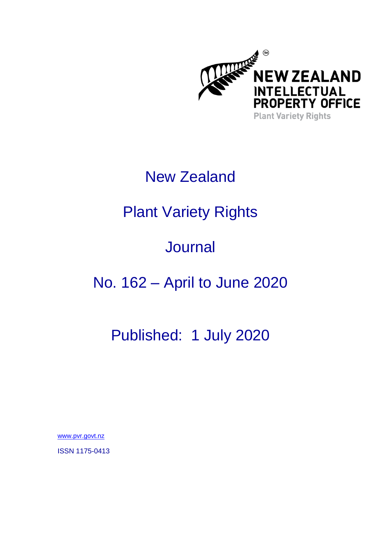

### New Zealand

# Plant Variety Rights

# **Journal**

# No. 162 – April to June 2020

### Published: 1 July 2020

[www.pvr.govt.nz](http://www.pvr.govt.nz/)

ISSN 1175-0413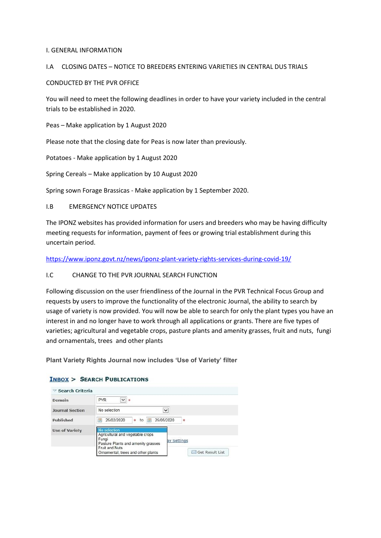#### I. GENERAL INFORMATION

#### I.A CLOSING DATES – NOTICE TO BREEDERS ENTERING VARIETIES IN CENTRAL DUS TRIALS

#### CONDUCTED BY THE PVR OFFICE

You will need to meet the following deadlines in order to have your variety included in the central trials to be established in 2020.

Peas – Make application by 1 August 2020

Please note that the closing date for Peas is now later than previously.

Potatoes - Make application by 1 August 2020

Spring Cereals – Make application by 10 August 2020

Spring sown Forage Brassicas - Make application by 1 September 2020.

#### I.B EMERGENCY NOTICE UPDATES

The IPONZ websites has provided information for users and breeders who may be having difficulty meeting requests for information, payment of fees or growing trial establishment during this uncertain period.

<https://www.iponz.govt.nz/news/iponz-plant-variety-rights-services-during-covid-19/>

#### I.C CHANGE TO THE PVR JOURNAL SEARCH FUNCTION

Following discussion on the user friendliness of the Journal in the PVR Technical Focus Group and requests by users to improve the functionality of the electronic Journal, the ability to search by usage of variety is now provided. You will now be able to search for only the plant types you have an interest in and no longer have to work through all applications or grants. There are five types of varieties; agricultural and vegetable crops, pasture plants and amenity grasses, fruit and nuts, fungi and ornamentals, trees and other plants

**Plant Variety Rights Journal now includes 'Use of Variety' filter**

| $\triangledown$ Search Criteria |                                                                                                                |
|---------------------------------|----------------------------------------------------------------------------------------------------------------|
| Domain                          | $\vee$ 0<br><b>PVR</b>                                                                                         |
| <b>Journal Section</b>          | No selection<br>$\checkmark$                                                                                   |
| Published                       | 25/02/2020<br>25/05/2020<br>區<br>F<br>۰<br>to<br>ø                                                             |
| <b>Use of Variety</b>           | No selection<br>Agricultural and vegetable crops<br>Fungi<br>av Settings<br>Pasture Plants and amenity grasses |
|                                 | Fruit and Nuts<br>Get Result List<br>Ornamental, trees and other plants<br><b>Suit</b>                         |

### **INBOX > SEARCH PUBLICATIONS**